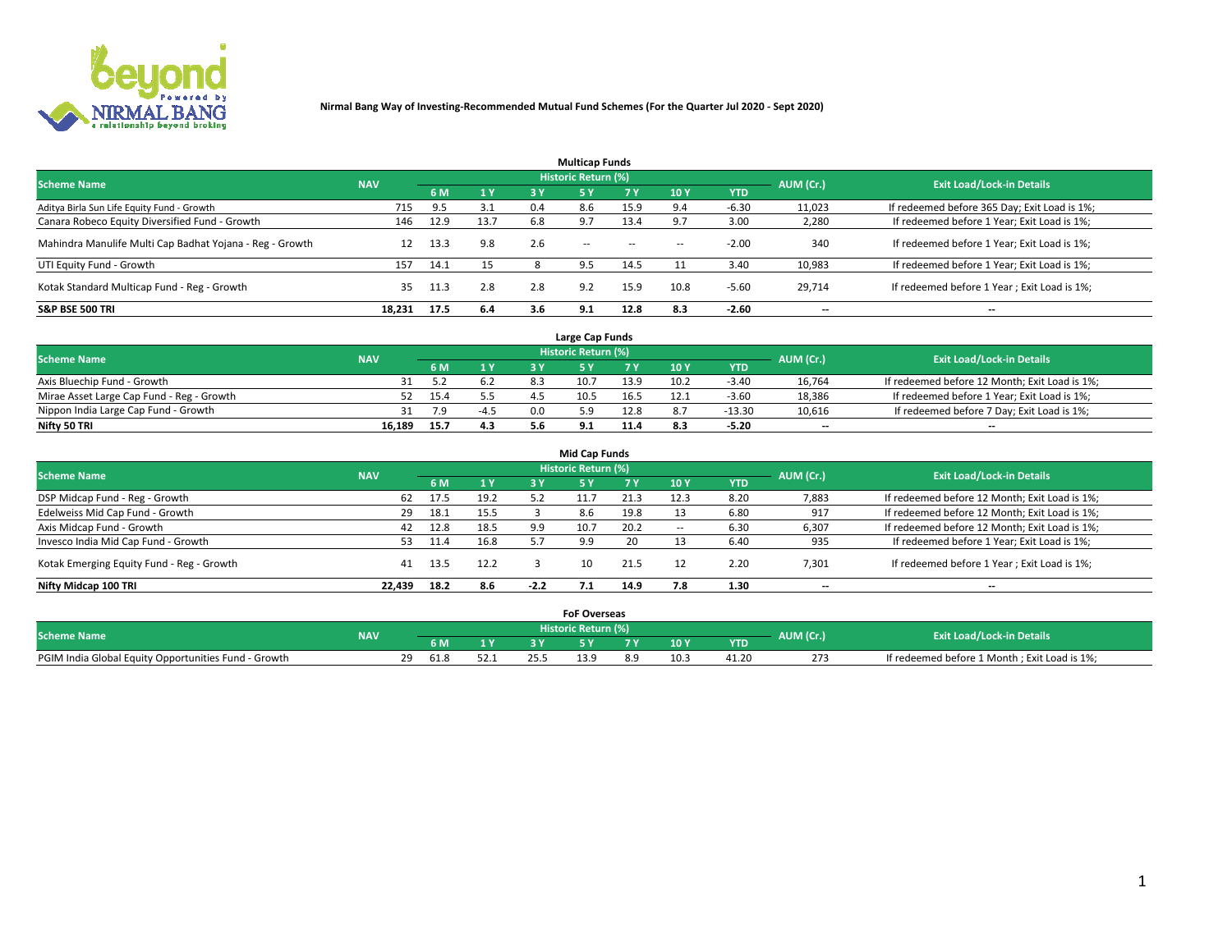

| <b>Multicap Funds</b>                                    |            |      |      |     |                     |           |                          |            |           |                                              |  |  |  |
|----------------------------------------------------------|------------|------|------|-----|---------------------|-----------|--------------------------|------------|-----------|----------------------------------------------|--|--|--|
| <b>Scheme Name</b>                                       | <b>NAV</b> |      |      |     | Historic Return (%) |           |                          |            | AUM (Cr.) | <b>Exit Load/Lock-in Details</b>             |  |  |  |
|                                                          |            | 6 M  | 1Y   | 3 Y | <b>5Y</b>           | <b>7Y</b> | 10Y                      | <b>YTD</b> |           |                                              |  |  |  |
| Aditya Birla Sun Life Equity Fund - Growth               | 715        | 9.5  | 3.1  | 0.4 | 8.6                 | 15.9      |                          | $-6.30$    | 11,023    | If redeemed before 365 Day; Exit Load is 1%; |  |  |  |
| Canara Robeco Equity Diversified Fund - Growth           | 146        | 12.9 | 13.7 | 6.8 | 9.7                 | 13.4      |                          | 3.00       | 2,280     | If redeemed before 1 Year; Exit Load is 1%;  |  |  |  |
| Mahindra Manulife Multi Cap Badhat Yojana - Reg - Growth | 12         | 13.3 | 9.8  | 2.6 | $\sim$ $-$          | $\sim$    | $\overline{\phantom{a}}$ | $-2.00$    | 340       | If redeemed before 1 Year; Exit Load is 1%;  |  |  |  |
| UTI Equity Fund - Growth                                 | 157        | 14.1 | 15   |     | 9.5                 | 14.5      |                          | 3.40       | 10,983    | If redeemed before 1 Year; Exit Load is 1%;  |  |  |  |
| Kotak Standard Multicap Fund - Reg - Growth              | 35         | 11.3 | 2.8  | 2.8 | 9.2                 | 15.9      | 10.8                     | $-5.60$    | 29.714    | If redeemed before 1 Year; Exit Load is 1%;  |  |  |  |
| <b>S&amp;P BSE 500 TRI</b>                               | 18.231     | 17.5 | 6.4  | 3.6 | 9.1                 | 12.8      | 8.3                      | $-2.60$    | --        | $- -$                                        |  |  |  |

|                                           |            |      |        | Large Cap Funds     |      |      |            |                          |                                               |
|-------------------------------------------|------------|------|--------|---------------------|------|------|------------|--------------------------|-----------------------------------------------|
| <b>Scheme Name</b>                        | <b>NAV</b> |      |        | Historic Return (%) |      |      |            | AUM (Cr.)                | <b>Exit Load/Lock-in Details</b>              |
|                                           |            | 6 M  | 1Y     |                     |      | 10 Y | <b>YTD</b> |                          |                                               |
| Axis Bluechip Fund - Growth               |            |      | 6.2    | 10.7                | 13.9 | 10.2 | $-3.40$    | 16,764                   | If redeemed before 12 Month; Exit Load is 1%; |
| Mirae Asset Large Cap Fund - Reg - Growth |            | 15.4 |        | 10.5                | 16.5 |      | $-3.60$    | 18,386                   | If redeemed before 1 Year; Exit Load is 1%;   |
| Nippon India Large Cap Fund - Growth      |            |      | $-4.5$ |                     | 12.8 |      | $-13.30$   | 10,616                   | If redeemed before 7 Day; Exit Load is 1%;    |
| Nifty 50 TRI                              | 16.189     | 15.7 | 4.3    |                     | 11.4 | 8.3  | $-5.20$    | $\overline{\phantom{a}}$ | $\overline{\phantom{a}}$                      |

| <b>Mid Cap Funds</b>                      |            |      |      |        |                            |      |            |             |                          |                                               |  |  |  |
|-------------------------------------------|------------|------|------|--------|----------------------------|------|------------|-------------|--------------------------|-----------------------------------------------|--|--|--|
| <b>Scheme Name</b>                        | <b>NAV</b> |      |      |        | <b>Historic Return (%)</b> |      |            |             | AUM (Cr.)                |                                               |  |  |  |
|                                           |            | 6 M  | 1 Y  | 3 Y    |                            | 7 V  | <b>10Y</b> | <b>YTD</b>  |                          | <b>Exit Load/Lock-in Details</b>              |  |  |  |
| DSP Midcap Fund - Reg - Growth            | 62         | 17.5 | 19.2 | 5.2    |                            | 21.3 | 12.3       | 8.20        | 7,883                    | If redeemed before 12 Month; Exit Load is 1%; |  |  |  |
| Edelweiss Mid Cap Fund - Growth           | 29         | 18.1 | 15.5 |        | 8.6                        | 19.8 |            | 6.80        | 917                      | If redeemed before 12 Month; Exit Load is 1%; |  |  |  |
| Axis Midcap Fund - Growth                 | 42         | 12.8 | 18.5 | 9.9    | 10.7                       | 20.2 |            | 6.30        | 6,307                    | If redeemed before 12 Month; Exit Load is 1%; |  |  |  |
| Invesco India Mid Cap Fund - Growth       | 53.        | 11.4 | 16.8 |        | 9.9                        | 20   |            | <b>6.40</b> | 935                      | If redeemed before 1 Year; Exit Load is 1%;   |  |  |  |
| Kotak Emerging Equity Fund - Reg - Growth | 41         | 13.5 | 12.2 |        | 10                         | 21.5 |            | 2.20        | 7,301                    | If redeemed before 1 Year; Exit Load is 1%;   |  |  |  |
| Nifty Midcap 100 TRI                      | 22.439     | 18.2 | 8.6  | $-2.2$ |                            | 14.9 | 7.8        | 1.30        | $\overline{\phantom{a}}$ | $\overline{\phantom{a}}$                      |  |  |  |

|                                                      |            |       |                | <b>FoF Overseas</b> |     |     |            |           |                                              |
|------------------------------------------------------|------------|-------|----------------|---------------------|-----|-----|------------|-----------|----------------------------------------------|
| <b>Scheme Name</b>                                   | <b>NAV</b> |       |                | Historic Return (%) |     |     |            | AUM (Cr.) | <b>Exit Load/Lock-in Details</b>             |
|                                                      |            | 6 M   | 1 <sub>V</sub> |                     |     | 10Y | <b>YTD</b> |           |                                              |
| PGIM India Global Equity Opportunities Fund - Growth |            | -61.8 | 52.J           | ם בו                | 8.9 |     | 41.20      | 273       | If redeemed before 1 Month; Exit Load is 1%; |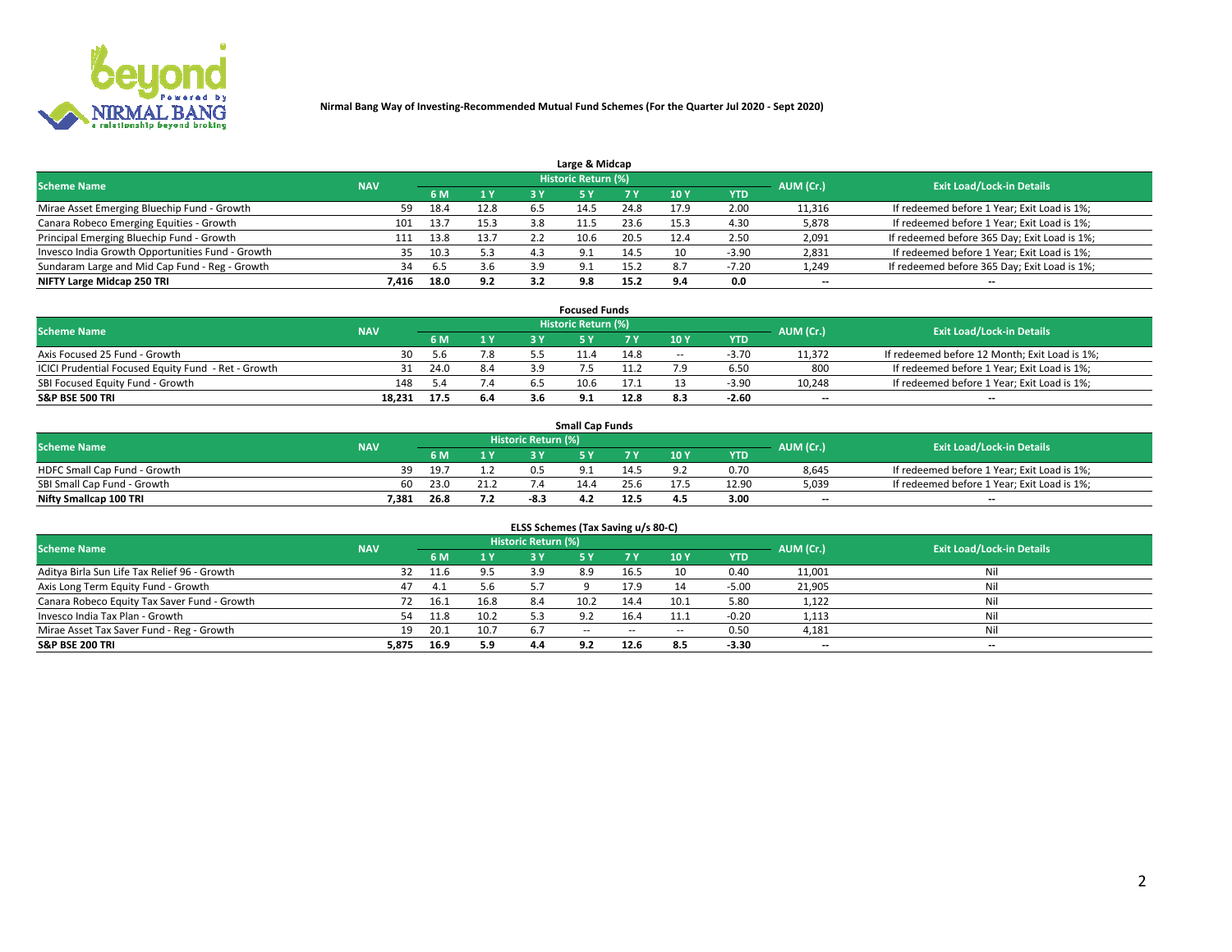

| Large & Midcap                                   |            |      |      |     |                     |      |      |            |                          |                                              |  |  |  |  |
|--------------------------------------------------|------------|------|------|-----|---------------------|------|------|------------|--------------------------|----------------------------------------------|--|--|--|--|
| <b>Scheme Name</b>                               | <b>NAV</b> |      |      |     | Historic Return (%) |      |      |            | AUM (Cr.)                | <b>Exit Load/Lock-in Details</b>             |  |  |  |  |
|                                                  |            | 6 M  | 1 Y  | 3 Y |                     | 7 V  | 10Y  | <b>YTD</b> |                          |                                              |  |  |  |  |
| Mirae Asset Emerging Bluechip Fund - Growth      | 59         | 18.4 | 12.8 | 6.5 | 14.5                | 24.8 | 17.9 | 2.00       | 11,316                   | If redeemed before 1 Year; Exit Load is 1%;  |  |  |  |  |
| Canara Robeco Emerging Equities - Growth         | 101        | 13.7 | 15.3 | 3.8 |                     | 23.6 | 15.3 | 4.30       | 5,878                    | If redeemed before 1 Year; Exit Load is 1%;  |  |  |  |  |
| Principal Emerging Bluechip Fund - Growth        | 111        | 13.8 | 13.7 |     | 10.6                | 20.5 | 12.4 | 2.50       | 2,091                    | If redeemed before 365 Day; Exit Load is 1%; |  |  |  |  |
| Invesco India Growth Opportunities Fund - Growth | 35         | 10.3 | 5.3  | 4.3 | Q                   | 14.5 | 10   | $-3.90$    | 2,831                    | If redeemed before 1 Year; Exit Load is 1%;  |  |  |  |  |
| Sundaram Large and Mid Cap Fund - Reg - Growth   | 34         | 6.5  | 3.6  | 3.9 | Q                   | 15.2 | 8.7  | $-7.20$    | 1,249                    | If redeemed before 365 Day; Exit Load is 1%; |  |  |  |  |
| NIFTY Large Midcap 250 TRI                       | 7.416      | 18.0 | 9.2  | 3.2 | 9.8                 | 15.2 | о л  | 0.0        | $\overline{\phantom{a}}$ | $- -$                                        |  |  |  |  |

|                                                     |            |      |                | <b>Focused Funds</b> |      |        |            |                          |                                               |
|-----------------------------------------------------|------------|------|----------------|----------------------|------|--------|------------|--------------------------|-----------------------------------------------|
| <b>Scheme Name</b>                                  | <b>NAV</b> |      |                | Historic Return (%)  |      |        |            | AUM (Cr.)                | <b>Exit Load/Lock-in Details</b>              |
|                                                     |            | 6 M  | 1 <sub>V</sub> |                      |      | 10 Y   | <b>YTD</b> |                          |                                               |
| Axis Focused 25 Fund - Growth                       | 30         | 5.b  | 7.8            |                      | 14.8 | $\sim$ | $-3.70$    | 11,372                   | If redeemed before 12 Month; Exit Load is 1%; |
| ICICI Prudential Focused Equity Fund - Ret - Growth | 31         | 24.0 | 8.4            |                      | 1.2  |        | 6.50       | 800                      | If redeemed before 1 Year; Exit Load is 1%;   |
| SBI Focused Equity Fund - Growth                    | 148        |      | 7.4            | 10.6                 |      |        | $-3.9C$    | 10,248                   | If redeemed before 1 Year; Exit Load is 1%;   |
| <b>S&amp;P BSE 500 TRI</b>                          | 18.231     | 17.5 | 6.4            | 9.1                  | 12.8 |        | $-2.60$    | $\overline{\phantom{a}}$ | $- -$                                         |

| <b>Small Cap Funds</b>       |            |      |      |                     |      |      |                 |            |           |                                             |  |  |
|------------------------------|------------|------|------|---------------------|------|------|-----------------|------------|-----------|---------------------------------------------|--|--|
| <b>Scheme Name</b>           | <b>NAV</b> |      |      | Historic Return (%) |      |      |                 |            | AUM (Cr.) | <b>Exit Load/Lock-in Details</b>            |  |  |
|                              |            | 6 M  | 1 Y  |                     |      |      | 10 <sub>Y</sub> | <b>YTD</b> |           |                                             |  |  |
| HDFC Small Cap Fund - Growth |            | 19.7 |      |                     |      |      |                 | 0.70       | 8,645     | If redeemed before 1 Year; Exit Load is 1%; |  |  |
| SBI Small Cap Fund - Growth  | 60.        | 23.0 | 21.2 |                     | 14.4 | 25.b |                 | 12.90      | 5,039     | If redeemed before 1 Year; Exit Load is 1%; |  |  |
| Nifty Smallcap 100 TRI       | 7.381      | 26.8 | 7.2  | -8.:                | 4.2  | 12.5 | 4.5             | 3.00       | $- -$     | $- -$                                       |  |  |

| ELSS Schemes (Tax Saving u/s 80-C)           |            |       |      |                            |           |        |                          |            |                          |                                  |  |  |  |
|----------------------------------------------|------------|-------|------|----------------------------|-----------|--------|--------------------------|------------|--------------------------|----------------------------------|--|--|--|
| <b>Scheme Name</b>                           | <b>NAV</b> |       |      | <b>Historic Return (%)</b> |           |        |                          |            | AUM (Cr.)                | <b>Exit Load/Lock-in Details</b> |  |  |  |
|                                              |            | - 6 M | 1Y   | 3 Y                        | <b>5Y</b> | 7 Y    | 10 Y                     | <b>YTD</b> |                          |                                  |  |  |  |
| Aditya Birla Sun Life Tax Relief 96 - Growth | 32         | 11.6  | 9.5  |                            | 8.9       | 16.5   | 10                       | 0.40       | 11,001                   | Nil                              |  |  |  |
| Axis Long Term Equity Fund - Growth          | 47         | 4.1   | 5.6  | 57                         |           | 17.9   |                          | $-5.00$    | 21,905                   | Nil                              |  |  |  |
| Canara Robeco Equity Tax Saver Fund - Growth | 72         | 16.1  | 16.8 | 8.4                        | 10.2      | 14.4   | 10.1                     | 5.80       | 1,122                    | Nil                              |  |  |  |
| Invesco India Tax Plan - Growth              | 54         | 11.8  | 10.2 |                            |           | 16.4   | 11.1                     | $-0.20$    | 1,113                    | Nil                              |  |  |  |
| Mirae Asset Tax Saver Fund - Reg - Growth    | 19         | 20.1  | 10.7 | -6.7                       | $- -$     | $\sim$ | $\overline{\phantom{a}}$ | 0.50       | 4,181                    | Nil                              |  |  |  |
| S&P BSE 200 TRI                              | 5,875      | 16.9  | 5.9  | 4.4                        | 9.2       | 12.6   | 8.5                      | $-3.30$    | $\overline{\phantom{a}}$ | $- -$                            |  |  |  |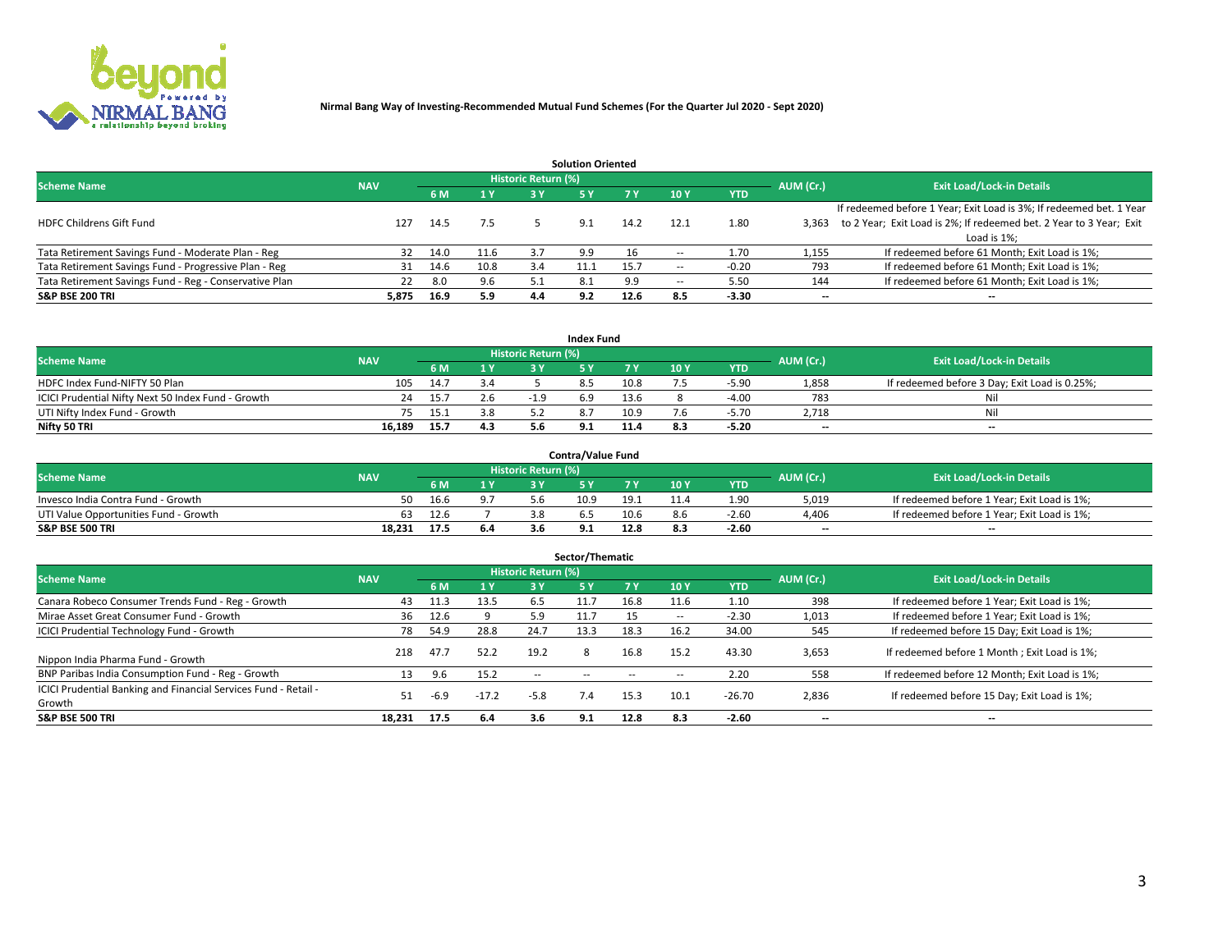

|                                                        |            |            |      |                            | <b>Solution Oriented</b> |      |                          |            |                          |                                                                     |
|--------------------------------------------------------|------------|------------|------|----------------------------|--------------------------|------|--------------------------|------------|--------------------------|---------------------------------------------------------------------|
| <b>Scheme Name</b>                                     | <b>NAV</b> |            |      | <b>Historic Return (%)</b> |                          |      |                          |            | AUM (Cr.)                | <b>Exit Load/Lock-in Details</b>                                    |
|                                                        |            | <b>6 M</b> | 1 Y  | 3 Y                        |                          |      | 10Y                      | <b>YTD</b> |                          |                                                                     |
|                                                        |            |            |      |                            |                          |      |                          |            |                          | If redeemed before 1 Year; Exit Load is 3%; If redeemed bet. 1 Year |
| <b>HDFC Childrens Gift Fund</b>                        | 127        | 14.5       | 7.5  |                            | 9.1                      | 14.2 | 12.1                     | 1.80       | 3.363                    | to 2 Year; Exit Load is 2%; If redeemed bet. 2 Year to 3 Year; Exit |
|                                                        |            |            |      |                            |                          |      |                          |            |                          | Load is 1%;                                                         |
| Tata Retirement Savings Fund - Moderate Plan - Reg     | 32         | 14.0       | 11.6 | 3.7                        | 9.9                      |      |                          | 1.70       | 1,155                    | If redeemed before 61 Month; Exit Load is 1%;                       |
| Tata Retirement Savings Fund - Progressive Plan - Reg  | 31         | 14.6       | 10.8 | 3.4                        |                          | 15.7 | $\overline{\phantom{a}}$ | $-0.20$    | 793                      | If redeemed before 61 Month; Exit Load is 1%;                       |
| Tata Retirement Savings Fund - Reg - Conservative Plan | 22         | 8.0        | 9.6  |                            | 8.1                      | 9.9  | --                       | 5.50       | 144                      | If redeemed before 61 Month; Exit Load is 1%;                       |
| S&P BSE 200 TRI                                        | 5,875      | 16.9       | 5.9  | 4.4                        | 9.2                      | 12.6 | 8.5                      | $-3.30$    | $\overline{\phantom{a}}$ | $- -$                                                               |

|                                                    |            |      |     |                            | <b>Index Fund</b> |      |      |            |                          |                                               |
|----------------------------------------------------|------------|------|-----|----------------------------|-------------------|------|------|------------|--------------------------|-----------------------------------------------|
| <b>Scheme Name</b>                                 | <b>NAV</b> |      |     | <b>Historic Return (%)</b> |                   |      |      |            | AUM (Cr.)                | <b>Exit Load/Lock-in Details</b>              |
|                                                    |            | 6 M  | 1 Y | 2 V                        |                   |      | 10 Y | <b>YTD</b> |                          |                                               |
| HDFC Index Fund-NIFTY 50 Plan                      | 105        | 14.7 | 3.4 |                            |                   | 10.8 |      | $-5.90$    | 1,858                    | If redeemed before 3 Day; Exit Load is 0.25%; |
| ICICI Prudential Nifty Next 50 Index Fund - Growth | 24         | 15.7 | 2.6 | $-19$                      | 6.9               | 13.6 |      | $-4.00$    | 783                      | Nil                                           |
| UTI Nifty Index Fund - Growth                      |            | 15.1 | 3.8 |                            |                   | 10.9 |      | $-5.70$    | 2,718                    | Nil                                           |
| Nifty 50 TRI                                       | 16.189     | 15.7 | 4.3 |                            |                   | 11.4 | 8.3  | $-5.20$    | $\overline{\phantom{a}}$ | $- -$                                         |

|                                       |            |      |                  |                            | <b>Contra/Value Fund</b> |      |     |            |                          |                                             |
|---------------------------------------|------------|------|------------------|----------------------------|--------------------------|------|-----|------------|--------------------------|---------------------------------------------|
| <b>Scheme Name</b>                    | <b>NAV</b> |      |                  | <b>Historic Return (%)</b> |                          |      |     |            | AUM (Cr.)                | <b>Exit Load/Lock-in Details</b>            |
|                                       |            |      | $\sim$ $\sqrt{}$ |                            |                          | 7 V  | 10Y | <b>YTD</b> |                          |                                             |
| Invesco India Contra Fund - Growth    | 50         | 16.6 |                  |                            | 10.9                     | 19.1 |     | 1.90       | 5,019                    | If redeemed before 1 Year; Exit Load is 1%; |
| UTI Value Opportunities Fund - Growth | 63         | 12.6 |                  |                            |                          | 10.6 |     | $-2.6C$    | 4,406                    | If redeemed before 1 Year; Exit Load is 1%; |
| <b>S&amp;P BSE 500 TRI</b>            | 18.231     | 17.5 | 6.4              |                            |                          | 12.8 |     | $-2.60$    | $\overline{\phantom{a}}$ | $- -$                                       |

| Sector/Thematic                                                           |            |      |                |                     |            |        |                          |            |           |                                               |  |  |  |
|---------------------------------------------------------------------------|------------|------|----------------|---------------------|------------|--------|--------------------------|------------|-----------|-----------------------------------------------|--|--|--|
| <b>Scheme Name</b>                                                        | <b>NAV</b> |      |                | Historic Return (%) |            |        |                          |            | AUM (Cr.) | <b>Exit Load/Lock-in Details</b>              |  |  |  |
|                                                                           |            | 6 M  | 1 <sub>Y</sub> | 3 Y                 | <b>5Y</b>  | 7 Y    | 10Y                      | <b>YTD</b> |           |                                               |  |  |  |
| Canara Robeco Consumer Trends Fund - Reg - Growth                         | 43         | 11.3 | 13.5           | 6.5                 | 11.7       | 16.8   | 11.6                     | 1.10       | 398       | If redeemed before 1 Year; Exit Load is 1%;   |  |  |  |
| Mirae Asset Great Consumer Fund - Growth                                  | 36         | 12.6 |                | 5.9                 | 11.7       |        | $\overline{\phantom{a}}$ | $-2.30$    | 1,013     | If redeemed before 1 Year; Exit Load is 1%;   |  |  |  |
| <b>ICICI Prudential Technology Fund - Growth</b>                          | 78         | 54.9 | 28.8           | 24.7                | 13.3       | 18.3   | 16.2                     | 34.00      | 545       | If redeemed before 15 Day; Exit Load is 1%;   |  |  |  |
| Nippon India Pharma Fund - Growth                                         | 218        | 47.7 | 52.2           | 19.2                | 8          | 16.8   | 15.2                     | 43.30      | 3,653     | If redeemed before 1 Month; Exit Load is 1%;  |  |  |  |
| BNP Paribas India Consumption Fund - Reg - Growth                         | 13         | 9.6  | 15.2           | $\sim$ $\sim$       | $\sim$ $-$ | $\sim$ | $\sim$                   | 2.20       | 558       | If redeemed before 12 Month; Exit Load is 1%; |  |  |  |
| ICICI Prudential Banking and Financial Services Fund - Retail -<br>Growth | 51         | -6.9 | $-17.2$        | $-5.8$              | 7.4        | 15.3   | 10.1                     | $-26.70$   | 2,836     | If redeemed before 15 Day; Exit Load is 1%;   |  |  |  |
| <b>S&amp;P BSE 500 TRI</b>                                                | 18.231     | 17.5 | 6.4            | 3.6                 | 9.1        | 12.8   | 8.3                      | $-2.60$    | --        | $- -$                                         |  |  |  |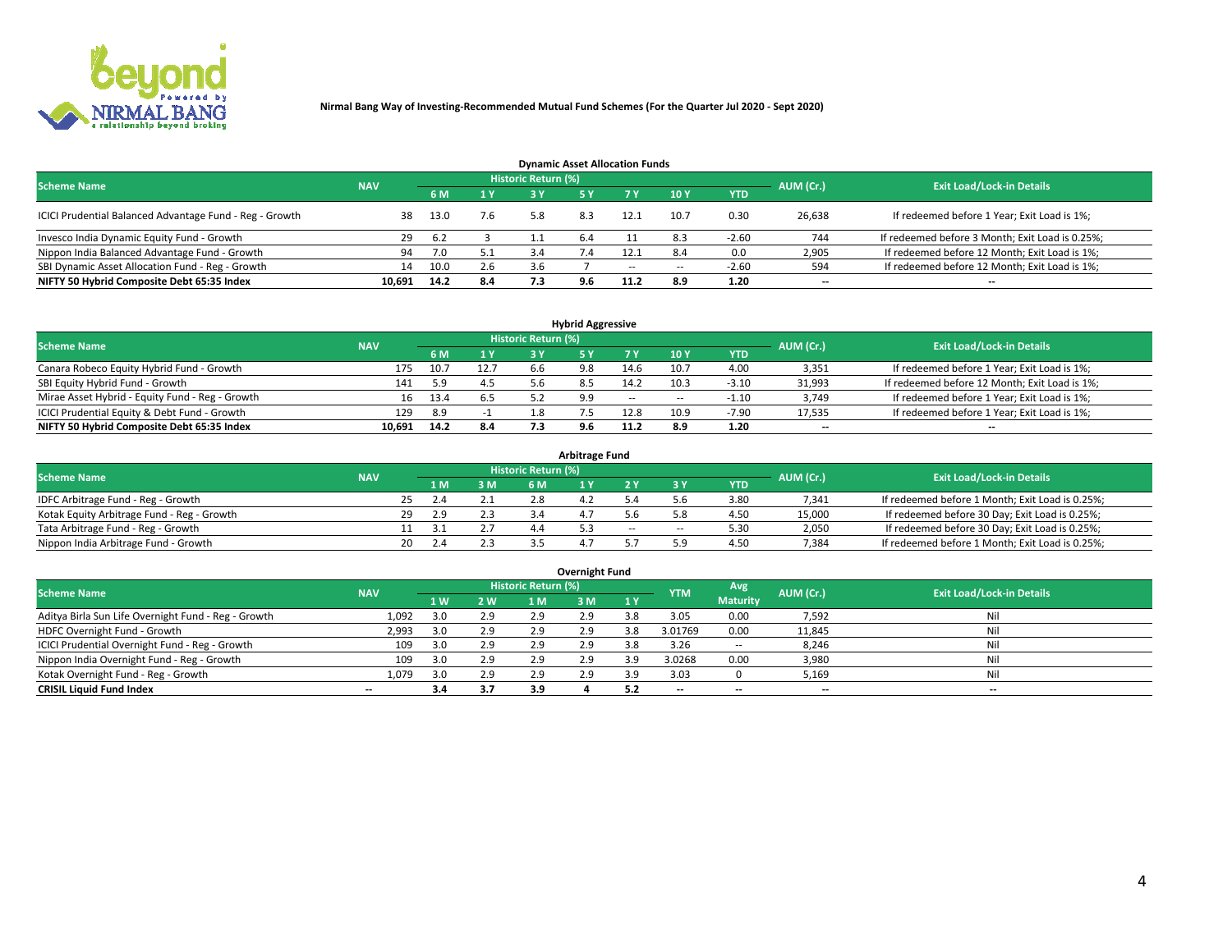

| <b>Dynamic Asset Allocation Funds</b>                   |            |      |     |                            |              |        |                          |            |           |                                                 |  |  |  |  |
|---------------------------------------------------------|------------|------|-----|----------------------------|--------------|--------|--------------------------|------------|-----------|-------------------------------------------------|--|--|--|--|
| <b>Scheme Name</b>                                      | <b>NAV</b> |      |     | <b>Historic Return (%)</b> |              |        |                          |            | AUM (Cr.) | <b>Exit Load/Lock-in Details</b>                |  |  |  |  |
|                                                         |            | 6 M  | 1 Y |                            |              |        | $-10Y$                   | <b>YTD</b> |           |                                                 |  |  |  |  |
| ICICI Prudential Balanced Advantage Fund - Reg - Growth | 38         | 13.0 | 7.6 | 5.8                        | 8.3          | 12.1   | 10.7                     | 0.30       | 26,638    | If redeemed before 1 Year; Exit Load is 1%;     |  |  |  |  |
| Invesco India Dynamic Equity Fund - Growth              | -29        | 6.2  |     |                            | 6.4          |        | 8.3                      | $-2.60$    | 744       | If redeemed before 3 Month; Exit Load is 0.25%; |  |  |  |  |
| Nippon India Balanced Advantage Fund - Growth           | 94         | 7.0  | 5.1 | 3.4                        | $\lambda$ .4 |        | 8.4                      | 0.0        | 2,905     | If redeemed before 12 Month; Exit Load is 1%;   |  |  |  |  |
| SBI Dynamic Asset Allocation Fund - Reg - Growth        | 14         | 10.0 | 2.6 | 3.6                        |              | $\sim$ | $\overline{\phantom{a}}$ | $-2.60$    | 594       | If redeemed before 12 Month; Exit Load is 1%;   |  |  |  |  |
| NIFTY 50 Hybrid Composite Debt 65:35 Index              | 10,691     | 14.2 | 8.4 | 7.3                        | 9.6          | 11.2   | 8.9                      | 1.20       | $- -$     | $- -$                                           |  |  |  |  |

| <b>Hybrid Aggressive</b>                        |                                                                                                          |      |      |     |     |        |                          |            |        |                                               |  |  |  |  |  |
|-------------------------------------------------|----------------------------------------------------------------------------------------------------------|------|------|-----|-----|--------|--------------------------|------------|--------|-----------------------------------------------|--|--|--|--|--|
|                                                 | Historic Return (%)<br><b>Exit Load/Lock-in Details</b><br><b>Scheme Name</b><br>AUM (Cr.)<br><b>NAV</b> |      |      |     |     |        |                          |            |        |                                               |  |  |  |  |  |
|                                                 |                                                                                                          | 6 M  | 1 Y  | RУ  |     |        | 10Y                      | <b>YTD</b> |        |                                               |  |  |  |  |  |
| Canara Robeco Equity Hybrid Fund - Growth       | 175                                                                                                      | 10.7 | 12.7 | h h | 9.8 | 14.6   | 10.7                     | 4.00       | 3,351  | If redeemed before 1 Year; Exit Load is 1%;   |  |  |  |  |  |
| SBI Equity Hybrid Fund - Growth                 | 141                                                                                                      | 5.9  | 4.5  |     |     | 14.2   | 10.3                     | $-3.10$    | 31,993 | If redeemed before 12 Month; Exit Load is 1%; |  |  |  |  |  |
| Mirae Asset Hybrid - Equity Fund - Reg - Growth | 16                                                                                                       | 13.4 | 6.5  |     | 9.9 | $\sim$ | $\overline{\phantom{a}}$ | $-1.10$    | 3,749  | If redeemed before 1 Year; Exit Load is 1%;   |  |  |  |  |  |
| ICICI Prudential Equity & Debt Fund - Growth    | 129                                                                                                      | 8.9  |      |     |     | 12.8   | 10.9                     | $-7.90$    | 17,535 | If redeemed before 1 Year; Exit Load is 1%;   |  |  |  |  |  |
| NIFTY 50 Hybrid Composite Debt 65:35 Index      | 10.691                                                                                                   | 14.2 | 8.4  |     |     | 11.2   |                          | 1.20       | $- -$  | $- -$                                         |  |  |  |  |  |

| <b>Arbitrage Fund</b>                      |            |           |     |                     |  |        |        |            |           |                                                 |  |  |  |  |
|--------------------------------------------|------------|-----------|-----|---------------------|--|--------|--------|------------|-----------|-------------------------------------------------|--|--|--|--|
| <b>Scheme Name</b>                         | <b>NAV</b> |           |     | Historic Return (%) |  |        |        |            | AUM (Cr.) | <b>Exit Load/Lock-in Details</b>                |  |  |  |  |
|                                            |            | L M.      | 3 M | <b>6M</b>           |  |        |        | <b>YTD</b> |           |                                                 |  |  |  |  |
| IDFC Arbitrage Fund - Reg - Growth         |            | 25<br>2.4 |     | 2.8                 |  |        |        | 3.80       | 7,341     | If redeemed before 1 Month; Exit Load is 0.25%; |  |  |  |  |
| Kotak Equity Arbitrage Fund - Reg - Growth |            | 29<br>2.9 | 2.3 |                     |  |        |        | 4.50       | 15,000    | If redeemed before 30 Day; Exit Load is 0.25%;  |  |  |  |  |
| Tata Arbitrage Fund - Reg - Growth         |            |           |     | 4.4                 |  | $\sim$ | $\sim$ | 5.30       | 2,050     | If redeemed before 30 Day; Exit Load is 0.25%;  |  |  |  |  |
| Nippon India Arbitrage Fund - Growth       |            | 20        |     |                     |  |        | ິດ     | 4.50       | 7,384     | If redeemed before 1 Month; Exit Load is 0.25%; |  |  |  |  |

| Overnight Fund                                      |            |     |     |                     |     |     |            |                 |                          |                                  |  |  |  |  |
|-----------------------------------------------------|------------|-----|-----|---------------------|-----|-----|------------|-----------------|--------------------------|----------------------------------|--|--|--|--|
| <b>Scheme Name</b>                                  | <b>NAV</b> |     |     | Historic Return (%) |     |     | <b>YTM</b> | Avg             | AUM (Cr.)                | <b>Exit Load/Lock-in Details</b> |  |  |  |  |
|                                                     |            | 1 W | 2 W | 1 M                 | 3 M | 1Y  |            | <b>Maturity</b> |                          |                                  |  |  |  |  |
| Aditya Birla Sun Life Overnight Fund - Reg - Growth | 1,092      |     | 2.9 | 2.9                 | 2.9 | 3.8 | 3.05       | 0.00            | 7,592                    | Nil                              |  |  |  |  |
| HDFC Overnight Fund - Growth                        | 2,993      |     | 2.9 | 2.9                 | 2.9 | 3.8 | 3.01769    | 0.00            | 11,845                   | Nil                              |  |  |  |  |
| ICICI Prudential Overnight Fund - Reg - Growth      | 109        |     | 2.9 | 2.9                 | 2.9 | 3.8 | 3.26       | $\sim$ $\sim$   | 8,246                    | Nil                              |  |  |  |  |
| Nippon India Overnight Fund - Reg - Growth          | 109        |     | 2.9 | 2.9                 | 2.9 | 3.9 | 3.0268     | 0.00            | 3,980                    | Nil                              |  |  |  |  |
| Kotak Overnight Fund - Reg - Growth                 | 1,079      |     | 2.9 | 2.9                 | 2.9 | 3.9 | 3.03       |                 | 5,169                    | Nil                              |  |  |  |  |
| <b>CRISIL Liquid Fund Index</b>                     | $- -$      | 3.4 | 3.7 | 3.9                 |     |     | --         | --              | $\overline{\phantom{a}}$ | --                               |  |  |  |  |

# **Overnight Fund**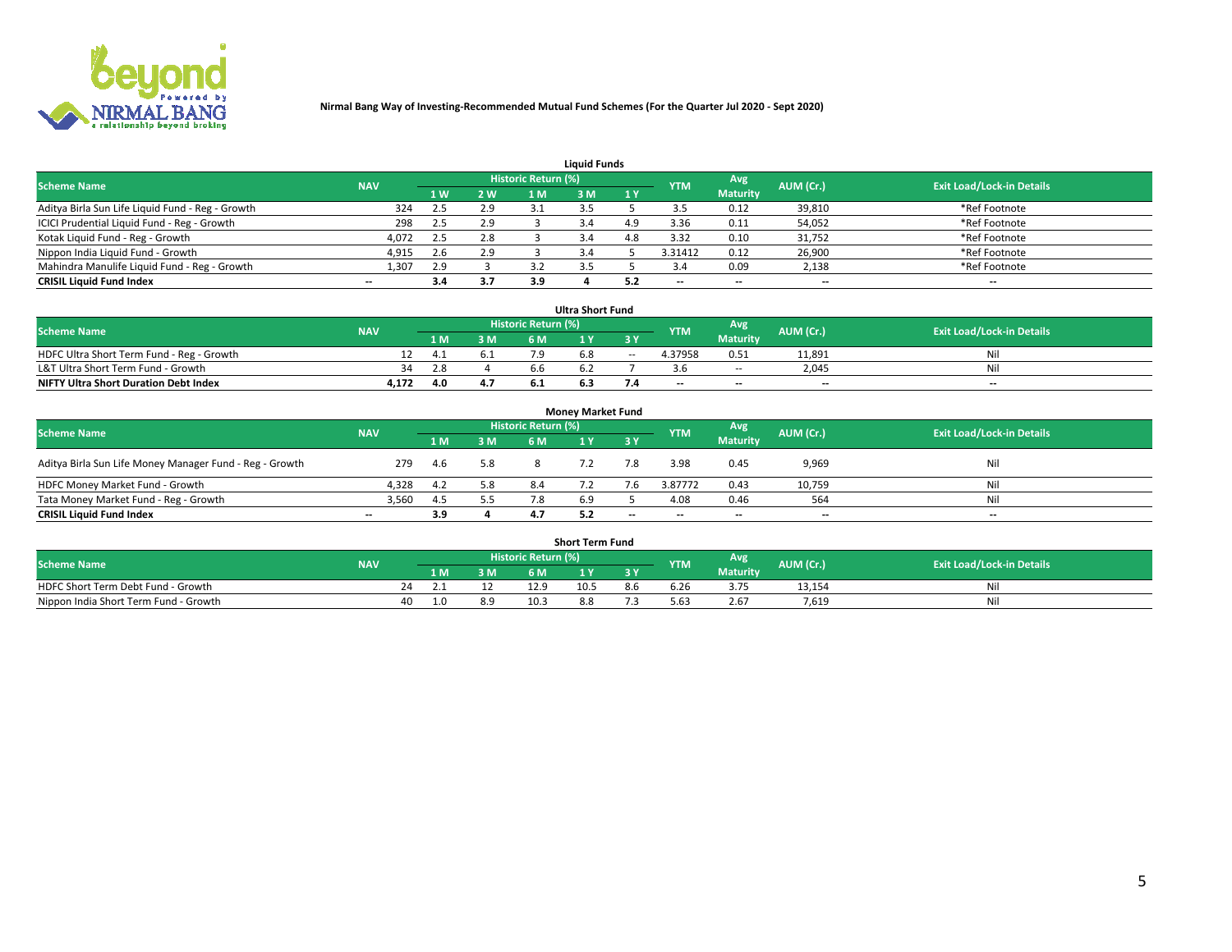

| <b>Liquid Funds</b>                              |            |               |     |                     |     |     |                          |                 |                          |                                  |  |  |  |  |
|--------------------------------------------------|------------|---------------|-----|---------------------|-----|-----|--------------------------|-----------------|--------------------------|----------------------------------|--|--|--|--|
| <b>Scheme Name</b>                               | <b>NAV</b> |               |     | Historic Return (%) |     |     | <b>YTM</b>               | Avg             | AUM (Cr.)                | <b>Exit Load/Lock-in Details</b> |  |  |  |  |
|                                                  |            | 1 W           | 2 W | 1 M                 | ዩ M | 1Y  |                          | <b>Maturity</b> |                          |                                  |  |  |  |  |
| Aditya Birla Sun Life Liquid Fund - Reg - Growth | 324        | $2.5^{\circ}$ | 2.9 |                     |     |     |                          | 0.12            | 39,810                   | *Ref Footnote                    |  |  |  |  |
| ICICI Prudential Liquid Fund - Reg - Growth      | 298        | 2.5           | 2.9 |                     |     | 4.9 | 3.36                     | 0.11            | 54,052                   | *Ref Footnote                    |  |  |  |  |
| Kotak Liquid Fund - Reg - Growth                 | 4,072      | 2.5           | 2.8 |                     |     | 4.8 | 3.32                     | 0.10            | 31,752                   | *Ref Footnote                    |  |  |  |  |
| Nippon India Liquid Fund - Growth                | 4,915      | 2.6           | 2.9 |                     |     |     | 3.31412                  | 0.12            | 26,900                   | *Ref Footnote                    |  |  |  |  |
| Mahindra Manulife Liquid Fund - Reg - Growth     | 1,307      | 2.9           |     |                     |     |     |                          | 0.09            | 2,138                    | *Ref Footnote                    |  |  |  |  |
| <b>CRISIL Liquid Fund Index</b>                  | $- -$      | 3.4           | 3.7 | 3.9                 |     | 5.2 | $\overline{\phantom{a}}$ | $- -$           | $\overline{\phantom{a}}$ | $\overline{\phantom{m}}$         |  |  |  |  |

| <b>Ultra Short Fund</b>                      |            |      |     |                     |     |        |            |                 |                          |                                  |  |  |  |  |
|----------------------------------------------|------------|------|-----|---------------------|-----|--------|------------|-----------------|--------------------------|----------------------------------|--|--|--|--|
| <b>Scheme Name</b>                           | <b>NAV</b> |      |     | Historic Return (%) |     |        | <b>YTM</b> | Avg             | AUM (Cr.)                | <b>Exit Load/Lock-in Details</b> |  |  |  |  |
|                                              |            | 1 M. | 3 M | 6 M                 | 1 Y |        |            | <b>Maturity</b> |                          |                                  |  |  |  |  |
| HDFC Ultra Short Term Fund - Reg - Growth    |            | 21 T |     |                     | 6.8 | $\sim$ | 4.37958    | 0.51            | 11.891                   | Ni                               |  |  |  |  |
| L&T Ultra Short Term Fund - Growth           | 34         |      |     |                     |     |        |            | <b>COLUM</b>    | 2,045                    | Ni                               |  |  |  |  |
| <b>NIFTY Ultra Short Duration Debt Index</b> | 4,172      |      | 4.7 |                     | ხ.პ |        | $-$        | $- -$           | $\overline{\phantom{a}}$ | $-$                              |  |  |  |  |

| <b>Monev Market Fund</b>                                |            |      |     |                     |     |                          |                          |                 |           |                                  |  |  |  |  |
|---------------------------------------------------------|------------|------|-----|---------------------|-----|--------------------------|--------------------------|-----------------|-----------|----------------------------------|--|--|--|--|
| <b>Scheme Name</b>                                      | <b>NAV</b> |      |     | Historic Return (%) |     |                          | <b>YTM</b>               | Avg             | AUM (Cr.) | <b>Exit Load/Lock-in Details</b> |  |  |  |  |
|                                                         |            | 1 M  | 3 M | 6 M                 |     | 3 Y                      |                          | <b>Maturity</b> |           |                                  |  |  |  |  |
| Aditya Birla Sun Life Money Manager Fund - Reg - Growth | 279        | -4.6 | 5.8 |                     |     | 7.8                      | 3.98                     | 0.45            | 9,969     | Nil                              |  |  |  |  |
| HDFC Money Market Fund - Growth                         | 4.328      | 4.2  | 5.8 | 8.4                 |     |                          | 3.87772                  | 0.43            | 10,759    | Nil                              |  |  |  |  |
| Tata Money Market Fund - Reg - Growth                   | 3,560      | 4.5  | 5.5 |                     | 6.9 |                          | 4.08                     | 0.46            | 564       | Nil                              |  |  |  |  |
| <b>CRISIL Liquid Fund Index</b>                         | $- -$      | 3.9  |     | 4.7                 |     | $\overline{\phantom{a}}$ | $\overline{\phantom{a}}$ | $- -$           | $-$       | $- -$                            |  |  |  |  |

|                                       |            |       |     |                     | <b>Short Term Fund</b> |     |       |                 |           |                                  |
|---------------------------------------|------------|-------|-----|---------------------|------------------------|-----|-------|-----------------|-----------|----------------------------------|
| <b>Scheme Name</b>                    | <b>NAV</b> |       |     | Historic Return (%) |                        |     | YTM   | Avg             | AUM (Cr.) | <b>Exit Load/Lock-in Details</b> |
|                                       |            | 1 M . | 3 M | 6 M                 | l M                    | 2V  |       | <b>Maturity</b> |           |                                  |
| HDFC Short Term Debt Fund - Growth    |            |       |     | 12.9                | 10.5                   | 8.b | 6.Zb  |                 | 13,154    | M                                |
| Nippon India Short Term Fund - Growth | 40         |       | 8.9 | 10.3                |                        |     | .63 د | 2.67            | 7.619     | N                                |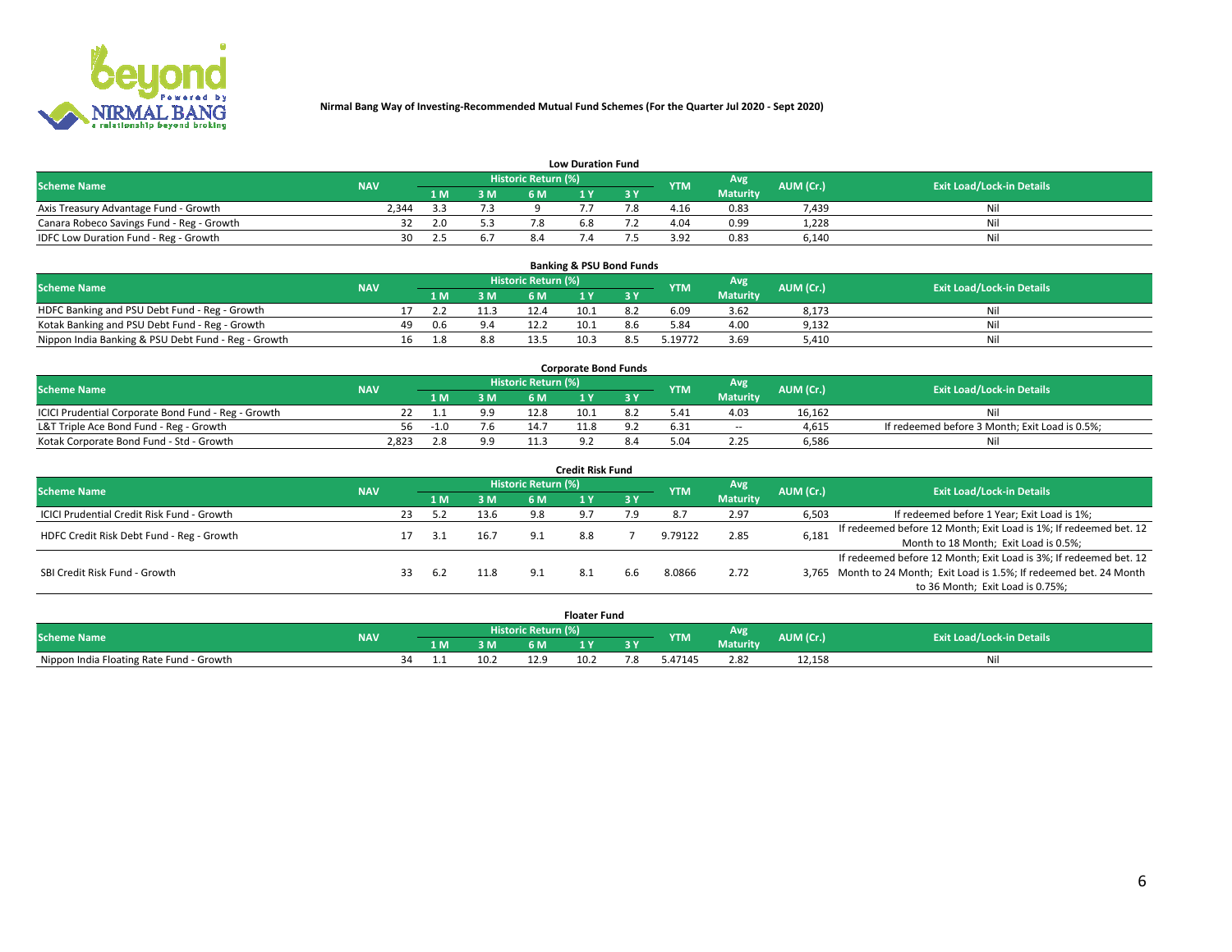

|                                           | <b>Low Duration Fund</b> |      |     |                     |     |     |                  |                 |           |                                  |  |  |  |  |  |
|-------------------------------------------|--------------------------|------|-----|---------------------|-----|-----|------------------|-----------------|-----------|----------------------------------|--|--|--|--|--|
| <b>Scheme Name</b>                        | <b>NAV</b>               |      |     | Historic Return (%) |     |     | <b>YTM</b>       | Avg             | AUM (Cr.) | <b>Exit Load/Lock-in Details</b> |  |  |  |  |  |
|                                           |                          | L M. | 3 M |                     |     | 3 Y |                  | <b>Maturity</b> |           |                                  |  |  |  |  |  |
| Axis Treasury Advantage Fund - Growth     | 2.344                    |      |     |                     |     |     | 4.16             | 0.83            | 7.439     | Nil                              |  |  |  |  |  |
| Canara Robeco Savings Fund - Reg - Growth |                          | 2.0  | 5.3 | 7.8                 | b.ŏ |     | 4.04             | 0.99            | 1,228     | Nil                              |  |  |  |  |  |
| IDFC Low Duration Fund - Reg - Growth     | 30                       |      | 6.7 |                     |     |     | 2 Q <sub>2</sub> | 0.83            | 6,140     | Nil                              |  |  |  |  |  |

| <b>Banking &amp; PSU Bond Funds</b>                 |            |    |     |      |                            |      |  |            |                 |           |                                  |  |  |  |
|-----------------------------------------------------|------------|----|-----|------|----------------------------|------|--|------------|-----------------|-----------|----------------------------------|--|--|--|
| <b>Scheme Name</b>                                  | <b>NAV</b> |    |     |      | <b>Historic Return (%)</b> |      |  | <b>YTM</b> | Avg             | AUM (Cr.) | <b>Exit Load/Lock-in Details</b> |  |  |  |
|                                                     |            |    |     | 3 M  | 6 M                        |      |  |            | <b>Maturity</b> |           |                                  |  |  |  |
| HDFC Banking and PSU Debt Fund - Reg - Growth       |            |    |     | 11.3 | 12.4                       | 10.1 |  | 6.09       | 3.62            | 8,173     | Nil                              |  |  |  |
| Kotak Banking and PSU Debt Fund - Reg - Growth      |            | 49 | 0.6 | 9.4  | 12.2                       | 10.1 |  | 5.84       | 4.00            | 9,132     | Ni                               |  |  |  |
| Nippon India Banking & PSU Debt Fund - Reg - Growth |            | 16 | 1.8 | 8.8  | 13.5                       | 10.3 |  | 19772.     | 3.69            | 5,410     | Nil                              |  |  |  |

| <b>Corporate Bond Funds</b>                         |            |  |     |                            |      |  |            |                 |           |                                                |  |  |  |  |
|-----------------------------------------------------|------------|--|-----|----------------------------|------|--|------------|-----------------|-----------|------------------------------------------------|--|--|--|--|
| <b>Scheme Name</b>                                  | <b>NAV</b> |  |     | <b>Historic Return (%)</b> |      |  | <b>YTM</b> | Avg             | AUM (Cr.) | <b>Exit Load/Lock-in Details</b>               |  |  |  |  |
|                                                     |            |  | 3 M | 6 M                        |      |  |            | <b>Maturity</b> |           |                                                |  |  |  |  |
| ICICI Prudential Corporate Bond Fund - Reg - Growth |            |  | 9.9 | 12.8                       | 10.1 |  |            | 4.03            | 16.162    | Nil                                            |  |  |  |  |
| L&T Triple Ace Bond Fund - Reg - Growth             | 56         |  | 7.6 | 14.7                       |      |  | 6.31       | $\sim$ $-$      | 4,615     | If redeemed before 3 Month; Exit Load is 0.5%; |  |  |  |  |
| Kotak Corporate Bond Fund - Std - Growth            | 2.823      |  | 9.9 |                            |      |  |            | 2.25            | 6,586     | Nil                                            |  |  |  |  |

| <b>Credit Risk Fund</b>                    |            |    |     |      |                            |     |           |            |                 |           |                                                                       |  |  |  |
|--------------------------------------------|------------|----|-----|------|----------------------------|-----|-----------|------------|-----------------|-----------|-----------------------------------------------------------------------|--|--|--|
| <b>Scheme Name</b>                         | <b>NAV</b> |    |     |      | <b>Historic Return (%)</b> |     |           | <b>YTM</b> | Avg             | AUM (Cr.) | <b>Exit Load/Lock-in Details</b>                                      |  |  |  |
|                                            |            |    | 1 M | 3 M  | 6 M                        |     | <b>3Y</b> |            | <b>Maturity</b> |           |                                                                       |  |  |  |
| ICICI Prudential Credit Risk Fund - Growth |            | 23 |     | 13.6 | 9.8                        |     | 7.9       |            | 2.97            | 6,503     | If redeemed before 1 Year; Exit Load is 1%;                           |  |  |  |
| HDFC Credit Risk Debt Fund - Reg - Growth  |            |    |     | 16.7 | 9.1                        | 8.8 |           | 9.79122    | 2.85            | 6,181     | If redeemed before 12 Month; Exit Load is 1%; If redeemed bet. 12     |  |  |  |
|                                            |            |    |     |      |                            |     |           |            |                 |           | Month to 18 Month; Exit Load is 0.5%;                                 |  |  |  |
|                                            |            |    |     |      |                            |     |           |            |                 |           | If redeemed before 12 Month; Exit Load is 3%; If redeemed bet. 12     |  |  |  |
| SBI Credit Risk Fund - Growth              |            |    | 6.2 |      |                            |     | 6.6       | 8.0866     | 2.72            |           | 3,765 Month to 24 Month; Exit Load is 1.5%; If redeemed bet. 24 Month |  |  |  |
|                                            |            |    |     |      |                            |     |           |            |                 |           | to 36 Month; Exit Load is 0.75%;                                      |  |  |  |

| <b>Floater Fund</b>                      |            |                       |     |      |      |      |    |            |                 |           |                                  |  |
|------------------------------------------|------------|-----------------------|-----|------|------|------|----|------------|-----------------|-----------|----------------------------------|--|
| <b>Scheme Name</b>                       | <b>NAV</b> | Historic Return (%) \ |     |      |      |      |    | <b>YTM</b> | Avg             | AUM (Cr.) | <b>Exit Load/Lock-in Details</b> |  |
|                                          |            |                       | 1 M | 3 M  | 6 M' | ιv   | эv |            | <b>Maturity</b> |           |                                  |  |
| Nippon India Floating Rate Fund - Growth |            | 34                    |     | 10.2 | 12.9 | 10.2 | .ک | 5.47145    | 2.82            | 12,158    | Νı                               |  |